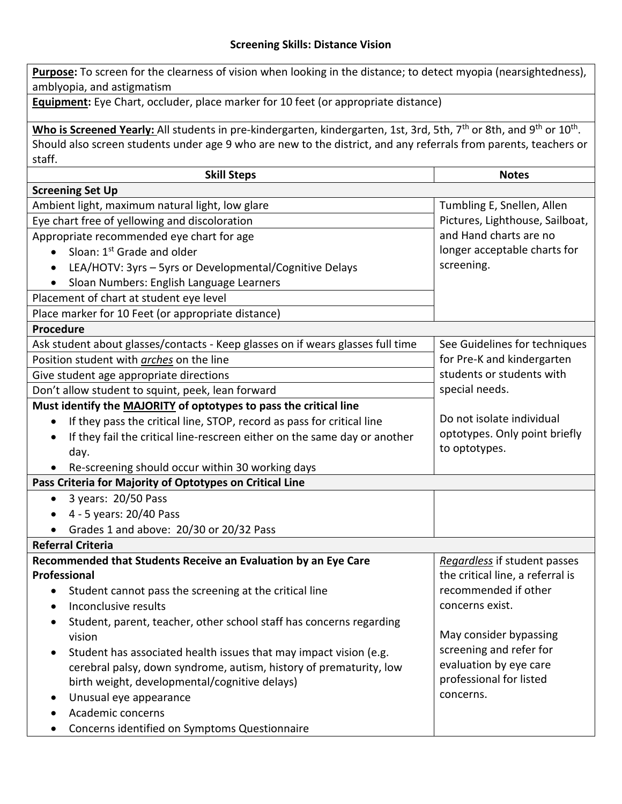## **Screening Skills: Distance Vision**

**Purpose:** To screen for the clearness of vision when looking in the distance; to detect myopia (nearsightedness), amblyopia, and astigmatism **Equipment:** Eye Chart, occluder, place marker for 10 feet (or appropriate distance) Who is Screened Yearly: All students in pre-kindergarten, kindergarten, 1st, 3rd, 5th, 7<sup>th</sup> or 8th, and 9<sup>th</sup> or 10<sup>th</sup>. Should also screen students under age 9 who are new to the district, and any referrals from parents, teachers or staff. **Skill Steps Notes Screening Set Up** Ambient light, maximum natural light, low glare Tumbling E, Snellen, Allen Pictures, Lighthouse, Sailboat, and Hand charts are no longer acceptable charts for screening. Eye chart free of yellowing and discoloration Appropriate recommended eye chart for age  $\bullet$  Sloan: 1<sup>st</sup> Grade and older LEA/HOTV: 3yrs – 5yrs or Developmental/Cognitive Delays • Sloan Numbers: English Language Learners Placement of chart at student eye level Place marker for 10 Feet (or appropriate distance) **Procedure** Ask student about glasses/contacts - Keep glasses on if wears glasses full time | See Guidelines for techniques for Pre-K and kindergarten students or students with special needs. Do not isolate individual optotypes. Only point briefly to optotypes. Position student with *arches* on the line Give student age appropriate directions Don't allow student to squint, peek, lean forward **Must identify the MAJORITY of optotypes to pass the critical line** • If they pass the critical line, STOP, record as pass for critical line • If they fail the critical line-rescreen either on the same day or another day. Re-screening should occur within 30 working days **Pass Criteria for Majority of Optotypes on Critical Line** • 3 years: 20/50 Pass  $\bullet$  4 - 5 years: 20/40 Pass Grades 1 and above: 20/30 or 20/32 Pass **Referral Criteria Recommended that Students Receive an Evaluation by an Eye Care Professional** • Student cannot pass the screening at the critical line • Inconclusive results • Student, parent, teacher, other school staff has concerns regarding vision • Student has associated health issues that may impact vision (e.g. cerebral palsy, down syndrome, autism, history of prematurity, low birth weight, developmental/cognitive delays) Unusual eye appearance Academic concerns Concerns identified on Symptoms Questionnaire *Regardless* if student passes the critical line, a referral is recommended if other concerns exist. May consider bypassing screening and refer for evaluation by eye care professional for listed concerns.